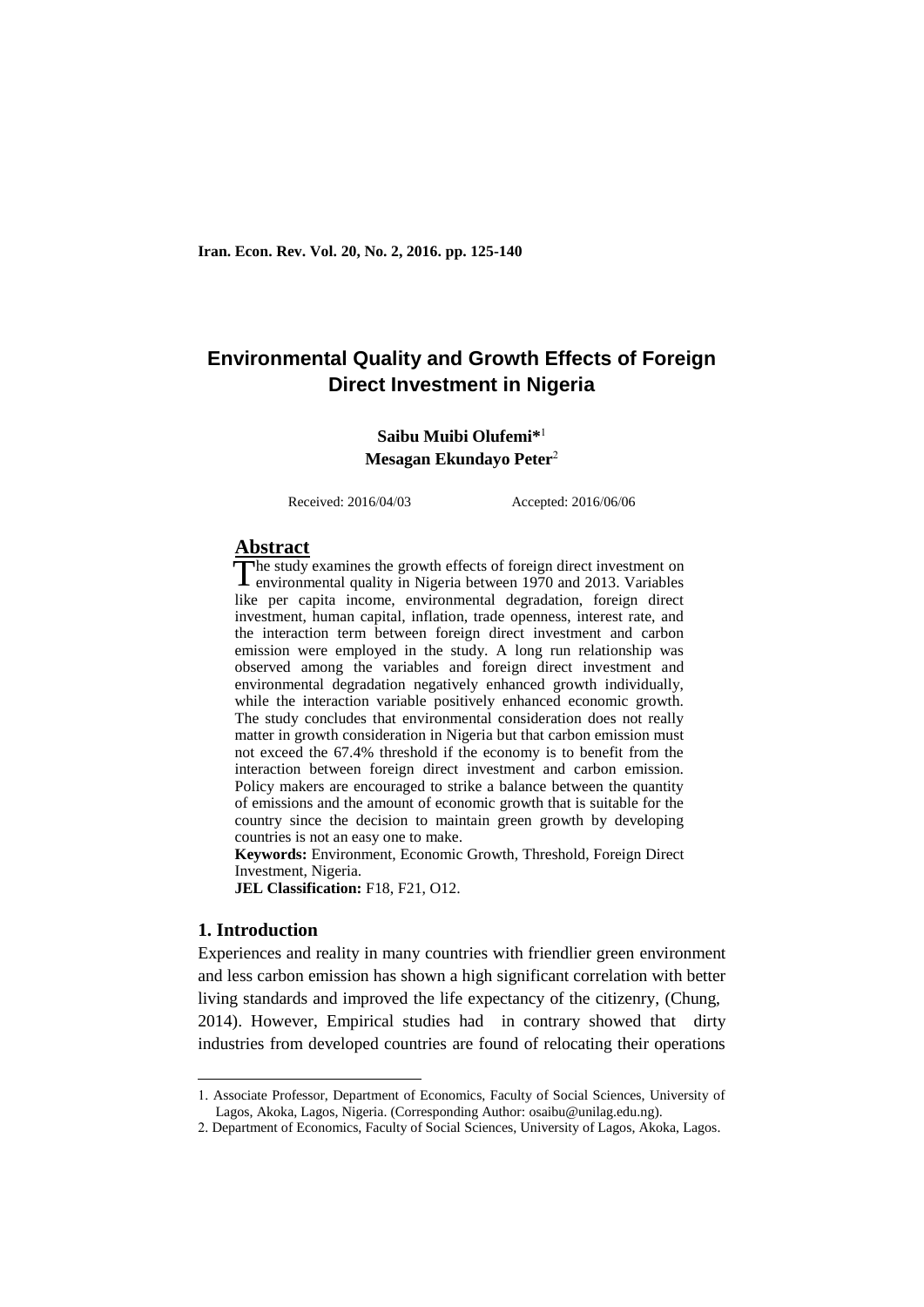**Iran. Econ. Rev. Vol. 20, No. 2, 2016. pp. 125-140**

# **Environmental Quality and Growth Effects of Foreign Direct Investment in Nigeria**

## **Saibu Muibi Olufemi\*** 1 **Mesagan Ekundayo Peter**<sup>2</sup>

Received: 2016/04/03 Accepted: 2016/06/06

## **Abstract**

The study examines the growth effects of foreign direct investment on The study examines the growth effects of foreign direct investment on environmental quality in Nigeria between 1970 and 2013. Variables like per capita income, environmental degradation, foreign direct investment, human capital, inflation, trade openness, interest rate, and the interaction term between foreign direct investment and carbon emission were employed in the study. A long run relationship was observed among the variables and foreign direct investment and environmental degradation negatively enhanced growth individually, while the interaction variable positively enhanced economic growth. The study concludes that environmental consideration does not really matter in growth consideration in Nigeria but that carbon emission must not exceed the 67.4% threshold if the economy is to benefit from the interaction between foreign direct investment and carbon emission. Policy makers are encouraged to strike a balance between the quantity of emissions and the amount of economic growth that is suitable for the country since the decision to maintain green growth by developing countries is not an easy one to make.

**Keywords:** Environment, Economic Growth, Threshold, Foreign Direct Investment, Nigeria.

**JEL Classification:** F18, F21, O12.

## **1. Introduction**

**.** 

Experiences and reality in many countries with friendlier green environment and less carbon emission has shown a high significant correlation with better living standards and improved the life expectancy of the citizenry, (Chung, 2014). However, Empirical studies had in contrary showed that dirty industries from developed countries are found of relocating their operations

<sup>1.</sup> Associate Professor, Department of Economics, Faculty of Social Sciences, University of Lagos, Akoka, Lagos, Nigeria. (Corresponding Author: osaibu@unilag.edu.ng).

<sup>2.</sup> Department of Economics, Faculty of Social Sciences, University of Lagos, Akoka, Lagos.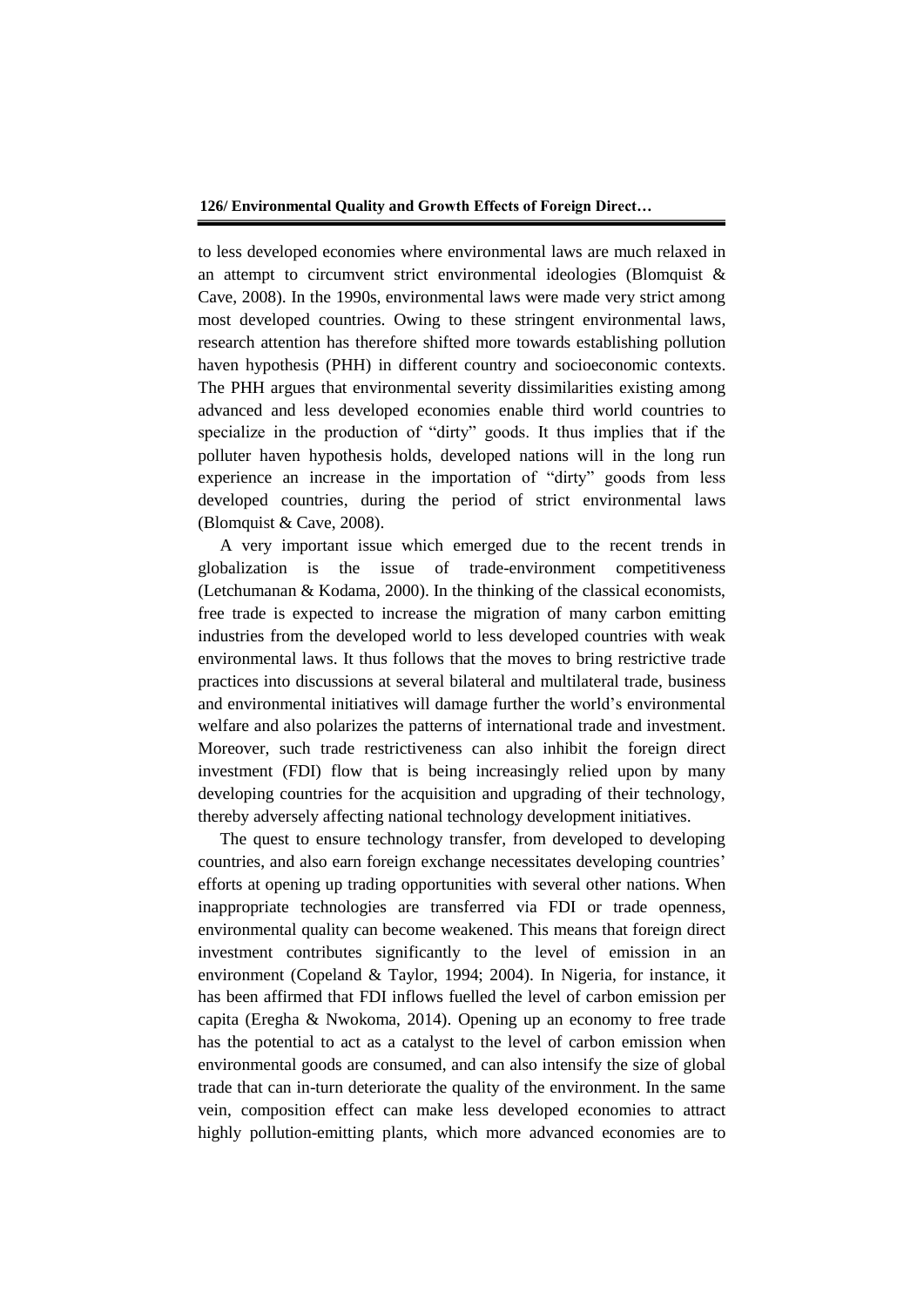to less developed economies where environmental laws are much relaxed in an attempt to circumvent strict environmental ideologies (Blomquist & Cave, 2008). In the 1990s, environmental laws were made very strict among most developed countries. Owing to these stringent environmental laws, research attention has therefore shifted more towards establishing pollution haven hypothesis (PHH) in different country and socioeconomic contexts. The PHH argues that environmental severity dissimilarities existing among advanced and less developed economies enable third world countries to specialize in the production of "dirty" goods. It thus implies that if the polluter haven hypothesis holds, developed nations will in the long run experience an increase in the importation of "dirty" goods from less developed countries, during the period of strict environmental laws (Blomquist & Cave, 2008).

A very important issue which emerged due to the recent trends in globalization is the issue of trade-environment competitiveness (Letchumanan & Kodama, 2000). In the thinking of the classical economists, free trade is expected to increase the migration of many carbon emitting industries from the developed world to less developed countries with weak environmental laws. It thus follows that the moves to bring restrictive trade practices into discussions at several bilateral and multilateral trade, business and environmental initiatives will damage further the world's environmental welfare and also polarizes the patterns of international trade and investment. Moreover, such trade restrictiveness can also inhibit the foreign direct investment (FDI) flow that is being increasingly relied upon by many developing countries for the acquisition and upgrading of their technology, thereby adversely affecting national technology development initiatives.

The quest to ensure technology transfer, from developed to developing countries, and also earn foreign exchange necessitates developing countries' efforts at opening up trading opportunities with several other nations. When inappropriate technologies are transferred via FDI or trade openness, environmental quality can become weakened. This means that foreign direct investment contributes significantly to the level of emission in an environment (Copeland & Taylor, 1994; 2004). In Nigeria, for instance, it has been affirmed that FDI inflows fuelled the level of carbon emission per capita (Eregha & Nwokoma, 2014). Opening up an economy to free trade has the potential to act as a catalyst to the level of carbon emission when environmental goods are consumed, and can also intensify the size of global trade that can in-turn deteriorate the quality of the environment. In the same vein, composition effect can make less developed economies to attract highly pollution-emitting plants, which more advanced economies are to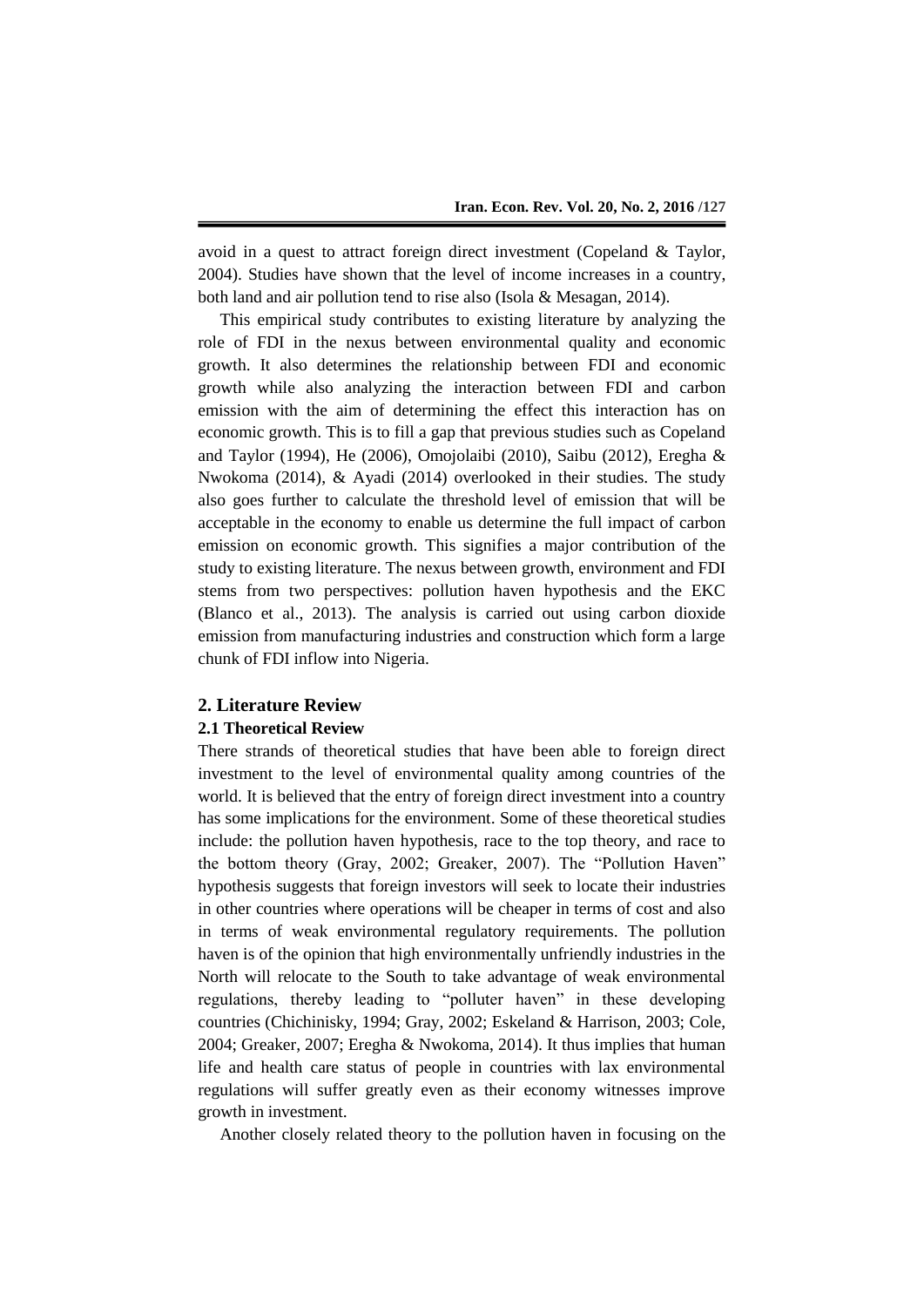avoid in a quest to attract foreign direct investment (Copeland & Taylor, 2004). Studies have shown that the level of income increases in a country, both land and air pollution tend to rise also (Isola & Mesagan, 2014).

This empirical study contributes to existing literature by analyzing the role of FDI in the nexus between environmental quality and economic growth. It also determines the relationship between FDI and economic growth while also analyzing the interaction between FDI and carbon emission with the aim of determining the effect this interaction has on economic growth. This is to fill a gap that previous studies such as Copeland and Taylor (1994), He (2006), Omojolaibi (2010), Saibu (2012), Eregha & Nwokoma (2014), & Ayadi (2014) overlooked in their studies. The study also goes further to calculate the threshold level of emission that will be acceptable in the economy to enable us determine the full impact of carbon emission on economic growth. This signifies a major contribution of the study to existing literature. The nexus between growth, environment and FDI stems from two perspectives: pollution haven hypothesis and the EKC (Blanco et al., 2013). The analysis is carried out using carbon dioxide emission from manufacturing industries and construction which form a large chunk of FDI inflow into Nigeria.

## **2. Literature Review**

#### **2.1 Theoretical Review**

There strands of theoretical studies that have been able to foreign direct investment to the level of environmental quality among countries of the world. It is believed that the entry of foreign direct investment into a country has some implications for the environment. Some of these theoretical studies include: the pollution haven hypothesis, race to the top theory, and race to the bottom theory (Gray, 2002; Greaker, 2007). The "Pollution Haven" hypothesis suggests that foreign investors will seek to locate their industries in other countries where operations will be cheaper in terms of cost and also in terms of weak environmental regulatory requirements. The pollution haven is of the opinion that high environmentally unfriendly industries in the North will relocate to the South to take advantage of weak environmental regulations, thereby leading to "polluter haven" in these developing countries (Chichinisky, 1994; Gray, 2002; Eskeland & Harrison, 2003; Cole, 2004; Greaker, 2007; Eregha & Nwokoma, 2014). It thus implies that human life and health care status of people in countries with lax environmental regulations will suffer greatly even as their economy witnesses improve growth in investment.

Another closely related theory to the pollution haven in focusing on the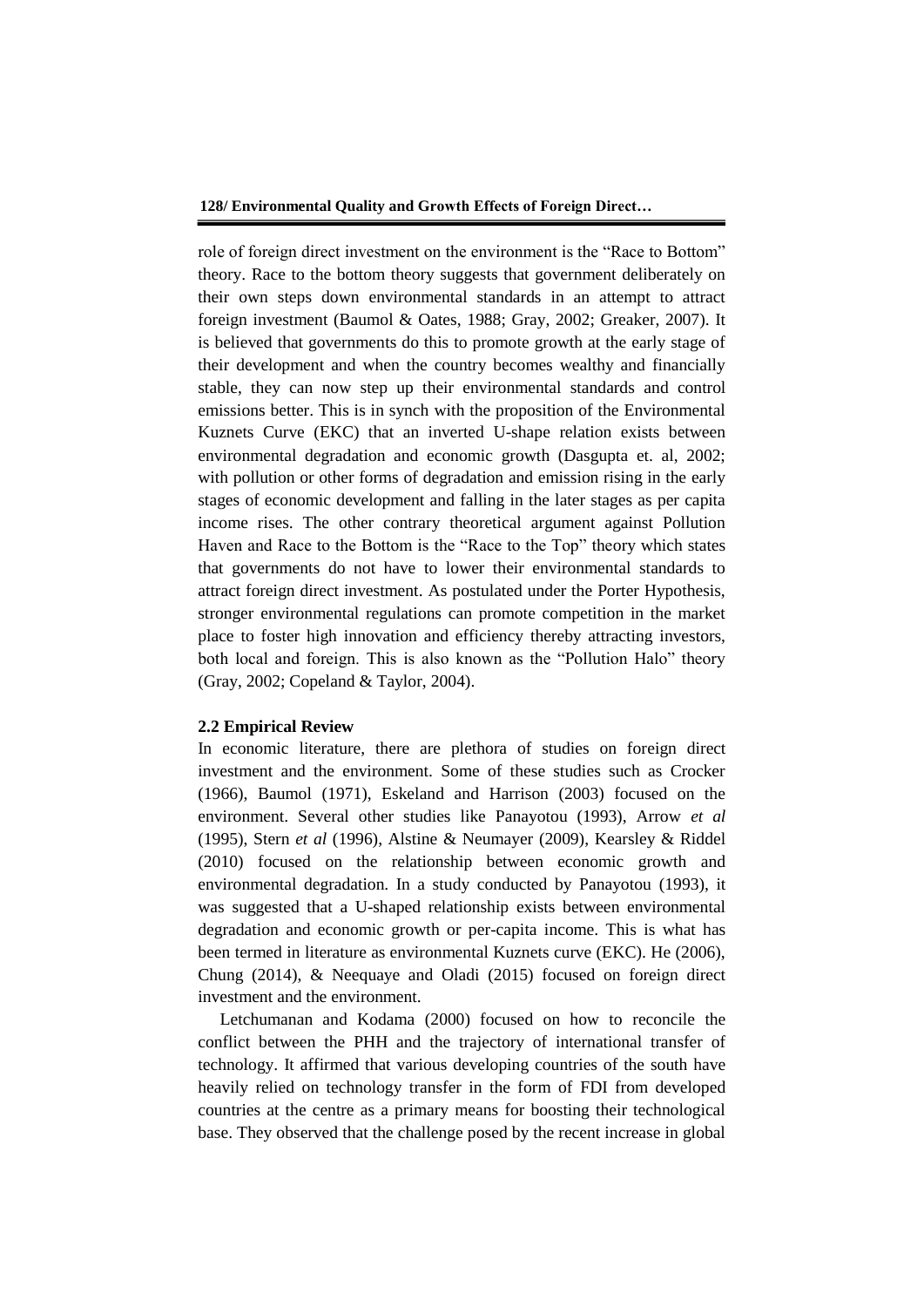role of foreign direct investment on the environment is the "Race to Bottom" theory. Race to the bottom theory suggests that government deliberately on their own steps down environmental standards in an attempt to attract foreign investment (Baumol & Oates, 1988; Gray, 2002; Greaker, 2007). It is believed that governments do this to promote growth at the early stage of their development and when the country becomes wealthy and financially stable, they can now step up their environmental standards and control emissions better. This is in synch with the proposition of the Environmental Kuznets Curve (EKC) that an inverted U-shape relation exists between environmental degradation and economic growth (Dasgupta et. al, 2002; with pollution or other forms of degradation and emission rising in the early stages of economic development and falling in the later stages as per capita income rises. The other contrary theoretical argument against Pollution Haven and Race to the Bottom is the "Race to the Top" theory which states that governments do not have to lower their environmental standards to attract foreign direct investment. As postulated under the Porter Hypothesis, stronger environmental regulations can promote competition in the market place to foster high innovation and efficiency thereby attracting investors, both local and foreign. This is also known as the "Pollution Halo" theory (Gray, 2002; Copeland & Taylor, 2004).

#### **2.2 Empirical Review**

In economic literature, there are plethora of studies on foreign direct investment and the environment. Some of these studies such as Crocker (1966), Baumol (1971), Eskeland and Harrison (2003) focused on the environment. Several other studies like Panayotou (1993), Arrow *et al* (1995), Stern *et al* (1996), Alstine & Neumayer (2009), Kearsley & Riddel (2010) focused on the relationship between economic growth and environmental degradation. In a study conducted by Panayotou (1993), it was suggested that a U-shaped relationship exists between environmental degradation and economic growth or per-capita income. This is what has been termed in literature as environmental Kuznets curve (EKC). He (2006), Chung (2014), & Neequaye and Oladi (2015) focused on foreign direct investment and the environment.

Letchumanan and Kodama (2000) focused on how to reconcile the conflict between the PHH and the trajectory of international transfer of technology. It affirmed that various developing countries of the south have heavily relied on technology transfer in the form of FDI from developed countries at the centre as a primary means for boosting their technological base. They observed that the challenge posed by the recent increase in global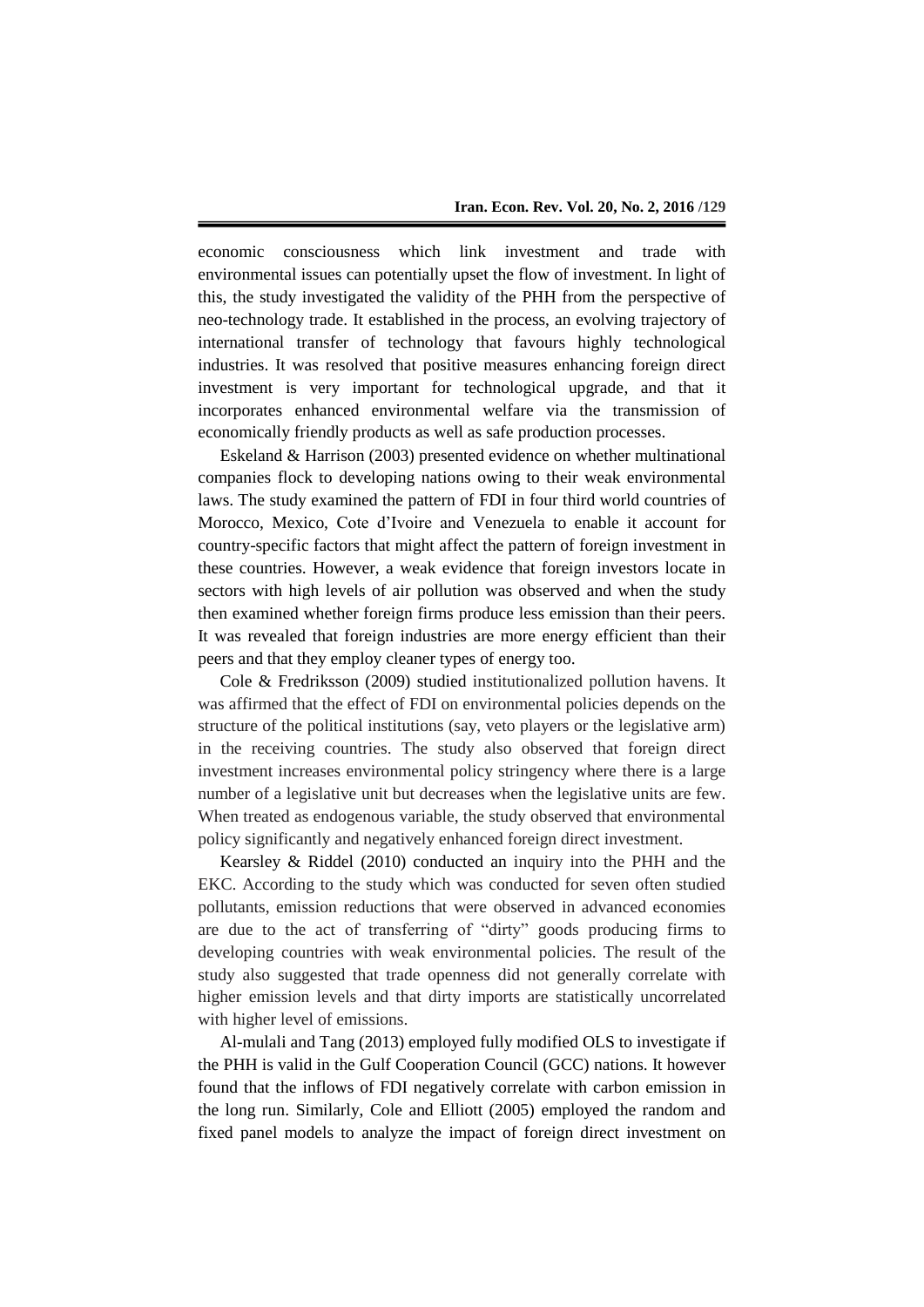economic consciousness which link investment and trade with environmental issues can potentially upset the flow of investment. In light of this, the study investigated the validity of the PHH from the perspective of neo-technology trade. It established in the process, an evolving trajectory of international transfer of technology that favours highly technological industries. It was resolved that positive measures enhancing foreign direct investment is very important for technological upgrade, and that it incorporates enhanced environmental welfare via the transmission of economically friendly products as well as safe production processes.

Eskeland & Harrison (2003) presented evidence on whether multinational companies flock to developing nations owing to their weak environmental laws. The study examined the pattern of FDI in four third world countries of Morocco, Mexico, Cote d'Ivoire and Venezuela to enable it account for country-specific factors that might affect the pattern of foreign investment in these countries. However, a weak evidence that foreign investors locate in sectors with high levels of air pollution was observed and when the study then examined whether foreign firms produce less emission than their peers. It was revealed that foreign industries are more energy efficient than their peers and that they employ cleaner types of energy too.

Cole & Fredriksson (2009) studied institutionalized pollution havens. It was affirmed that the effect of FDI on environmental policies depends on the structure of the political institutions (say, veto players or the legislative arm) in the receiving countries. The study also observed that foreign direct investment increases environmental policy stringency where there is a large number of a legislative unit but decreases when the legislative units are few. When treated as endogenous variable, the study observed that environmental policy significantly and negatively enhanced foreign direct investment.

Kearsley & Riddel (2010) conducted an inquiry into the PHH and the EKC. According to the study which was conducted for seven often studied pollutants, emission reductions that were observed in advanced economies are due to the act of transferring of "dirty" goods producing firms to developing countries with weak environmental policies. The result of the study also suggested that trade openness did not generally correlate with higher emission levels and that dirty imports are statistically uncorrelated with higher level of emissions.

Al-mulali and Tang (2013) employed fully modified OLS to investigate if the PHH is valid in the Gulf Cooperation Council (GCC) nations. It however found that the inflows of FDI negatively correlate with carbon emission in the long run. Similarly, Cole and Elliott (2005) employed the random and fixed panel models to analyze the impact of foreign direct investment on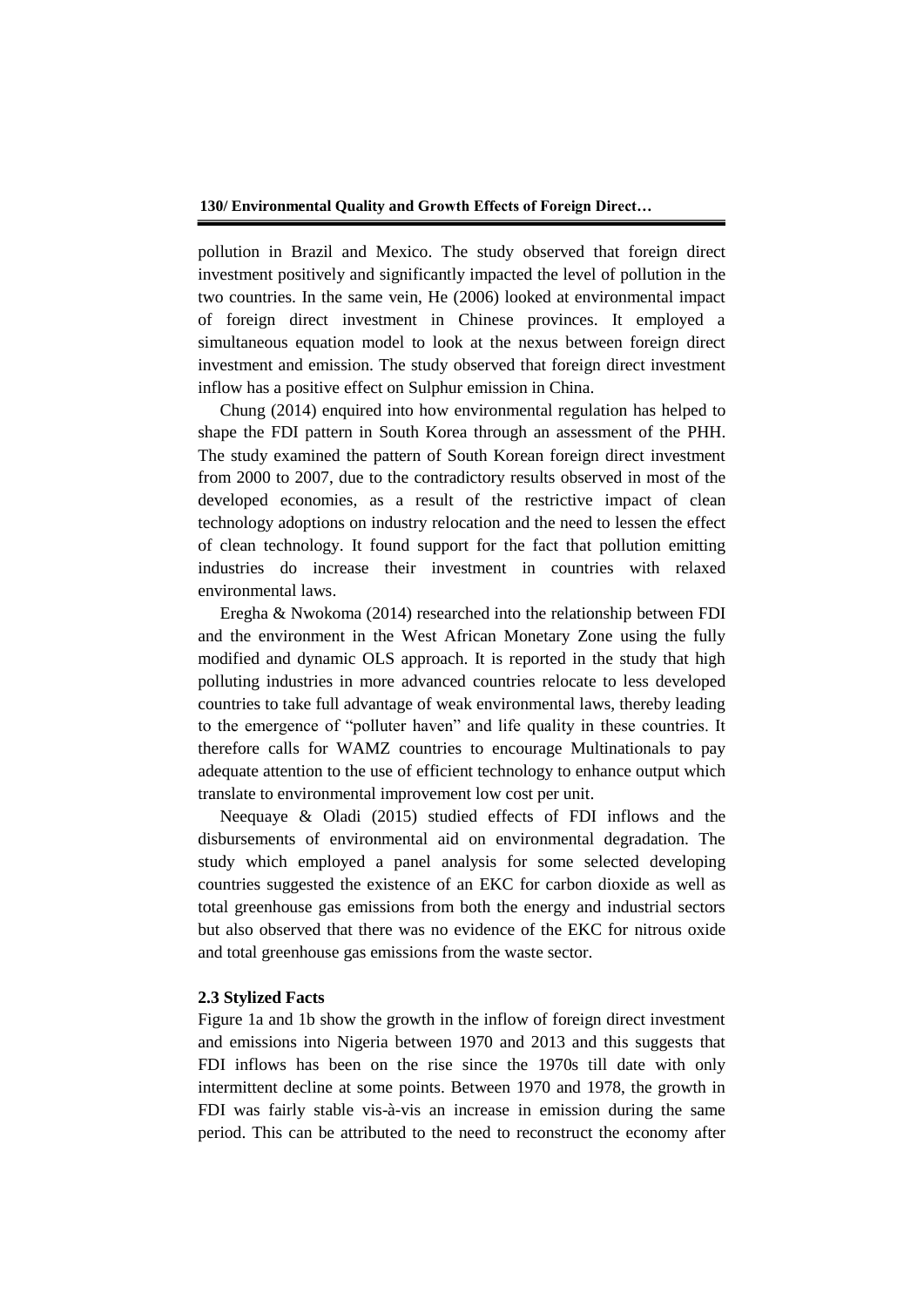pollution in Brazil and Mexico. The study observed that foreign direct investment positively and significantly impacted the level of pollution in the two countries. In the same vein, He (2006) looked at environmental impact of foreign direct investment in Chinese provinces. It employed a simultaneous equation model to look at the nexus between foreign direct investment and emission. The study observed that foreign direct investment inflow has a positive effect on Sulphur emission in China.

Chung (2014) enquired into how environmental regulation has helped to shape the FDI pattern in South Korea through an assessment of the PHH. The study examined the pattern of South Korean foreign direct investment from 2000 to 2007, due to the contradictory results observed in most of the developed economies, as a result of the restrictive impact of clean technology adoptions on industry relocation and the need to lessen the effect of clean technology. It found support for the fact that pollution emitting industries do increase their investment in countries with relaxed environmental laws.

Eregha & Nwokoma (2014) researched into the relationship between FDI and the environment in the West African Monetary Zone using the fully modified and dynamic OLS approach. It is reported in the study that high polluting industries in more advanced countries relocate to less developed countries to take full advantage of weak environmental laws, thereby leading to the emergence of "polluter haven" and life quality in these countries. It therefore calls for WAMZ countries to encourage Multinationals to pay adequate attention to the use of efficient technology to enhance output which translate to environmental improvement low cost per unit.

Neequaye & Oladi (2015) studied effects of FDI inflows and the disbursements of environmental aid on environmental degradation. The study which employed a panel analysis for some selected developing countries suggested the existence of an EKC for carbon dioxide as well as total greenhouse gas emissions from both the energy and industrial sectors but also observed that there was no evidence of the EKC for nitrous oxide and total greenhouse gas emissions from the waste sector.

## **2.3 Stylized Facts**

Figure 1a and 1b show the growth in the inflow of foreign direct investment and emissions into Nigeria between 1970 and 2013 and this suggests that FDI inflows has been on the rise since the 1970s till date with only intermittent decline at some points. Between 1970 and 1978, the growth in FDI was fairly stable vis-à-vis an increase in emission during the same period. This can be attributed to the need to reconstruct the economy after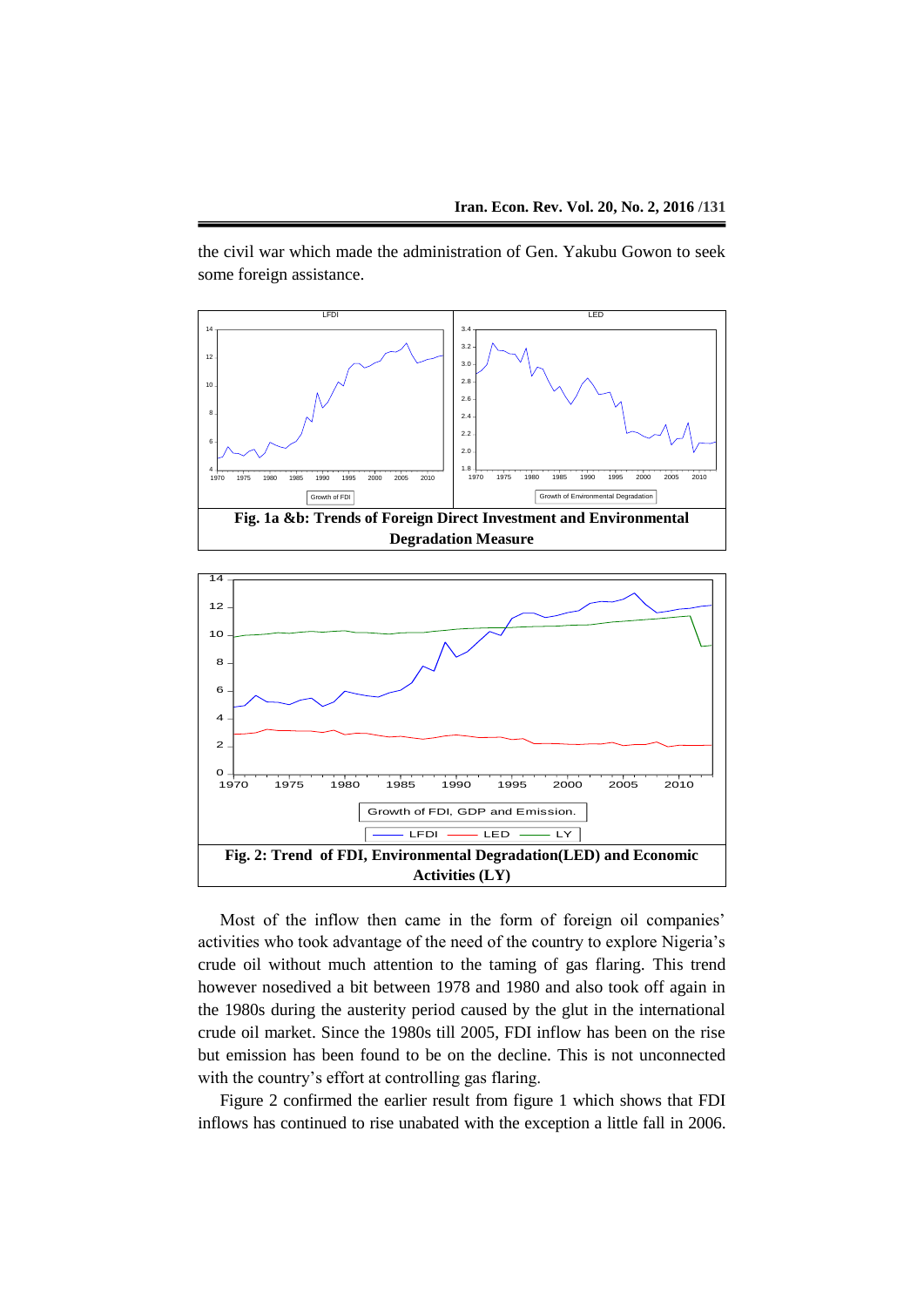the civil war which made the administration of Gen. Yakubu Gowon to seek some foreign assistance.





Most of the inflow then came in the form of foreign oil companies' activities who took advantage of the need of the country to explore Nigeria's crude oil without much attention to the taming of gas flaring. This trend however nosedived a bit between 1978 and 1980 and also took off again in the 1980s during the austerity period caused by the glut in the international crude oil market. Since the 1980s till 2005, FDI inflow has been on the rise but emission has been found to be on the decline. This is not unconnected with the country's effort at controlling gas flaring.

Figure 2 confirmed the earlier result from figure 1 which shows that FDI inflows has continued to rise unabated with the exception a little fall in 2006.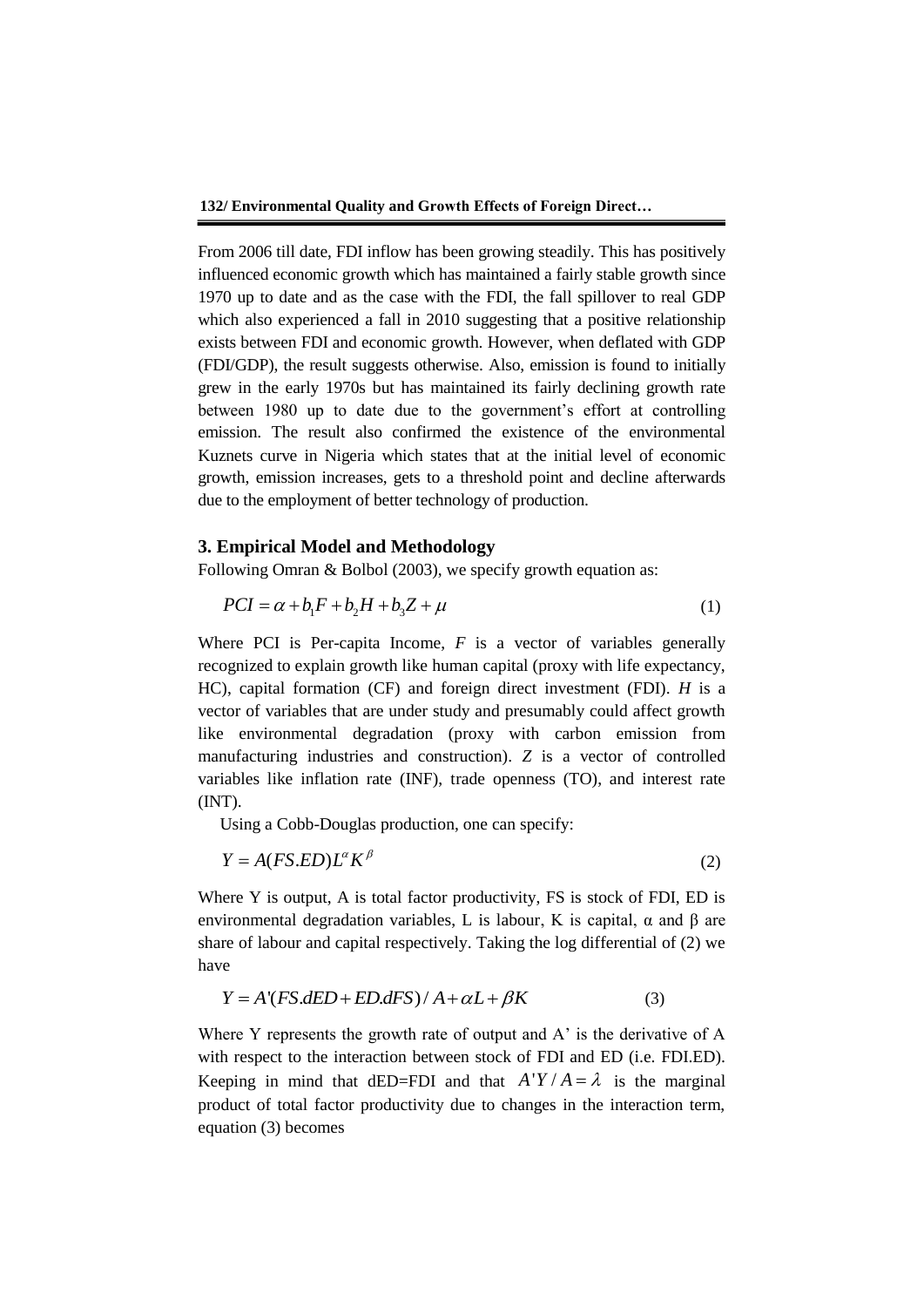From 2006 till date, FDI inflow has been growing steadily. This has positively influenced economic growth which has maintained a fairly stable growth since 1970 up to date and as the case with the FDI, the fall spillover to real GDP which also experienced a fall in 2010 suggesting that a positive relationship exists between FDI and economic growth. However, when deflated with GDP (FDI/GDP), the result suggests otherwise. Also, emission is found to initially grew in the early 1970s but has maintained its fairly declining growth rate between 1980 up to date due to the government's effort at controlling emission. The result also confirmed the existence of the environmental Kuznets curve in Nigeria which states that at the initial level of economic growth, emission increases, gets to a threshold point and decline afterwards due to the employment of better technology of production.

## **3. Empirical Model and Methodology**

Following Omran & Bolbol (2003), we specify growth equation as:

$$
PCI = \alpha + b_1 F + b_2 H + b_3 Z + \mu \tag{1}
$$

Where PCI is Per-capita Income, *F* is a vector of variables generally recognized to explain growth like human capital (proxy with life expectancy, HC), capital formation (CF) and foreign direct investment (FDI). *H* is a vector of variables that are under study and presumably could affect growth like environmental degradation (proxy with carbon emission from manufacturing industries and construction). *Z* is a vector of controlled variables like inflation rate (INF), trade openness (TO), and interest rate (INT).

Using a Cobb-Douglas production, one can specify:

$$
Y = A(FS.ED)L^{\alpha}K^{\beta}
$$
 (2)

Where Y is output, A is total factor productivity, FS is stock of FDI, ED is environmental degradation variables, L is labour, K is capital,  $\alpha$  and  $\beta$  are share of labour and capital respectively. Taking the log differential of (2) we have

$$
Y = A'(FS.dED + ED.dFS) / A + \alpha L + \beta K
$$
 (3)

Where Y represents the growth rate of output and A' is the derivative of A with respect to the interaction between stock of FDI and ED (i.e. FDI.ED). Keeping in mind that dED=FDI and that  $A'Y/A = \lambda$  is the marginal product of total factor productivity due to changes in the interaction term, equation (3) becomes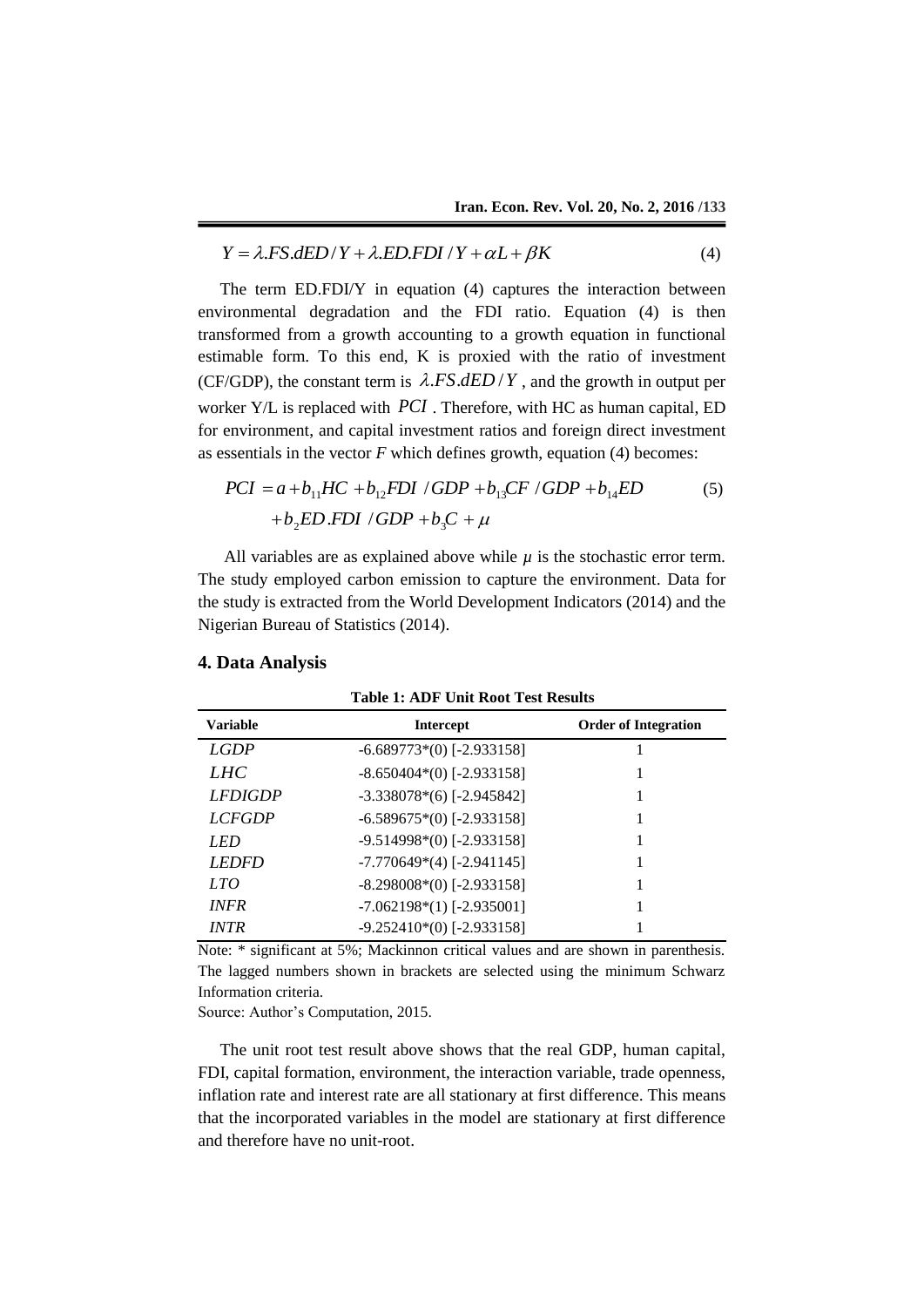$$
Y = \lambda F S. dED / Y + \lambda E D. F D I / Y + \alpha L + \beta K \tag{4}
$$

The term ED.FDI/Y in equation (4) captures the interaction between environmental degradation and the FDI ratio. Equation (4) is then transformed from a growth accounting to a growth equation in functional estimable form. To this end, K is proxied with the ratio of investment (CF/GDP), the constant term is  $\lambda$ .FS.dED/Y, and the growth in output per worker Y/L is replaced with *PCI* . Therefore, with HC as human capital, ED for environment, and capital investment ratios and foreign direct investment as essentials in the vector *F* which defines growth, equation (4) becomes:

$$
PCI = a + b_{11}HC + b_{12}FDI / GDP + b_{13}CF / GDP + b_{14}ED
$$
\n
$$
+ b_{2}ED .FDI / GDP + b_{3}C + \mu
$$
\n
$$
(5)
$$

All variables are as explained above while  $\mu$  is the stochastic error term. The study employed carbon emission to capture the environment. Data for the study is extracted from the World Development Indicators (2014) and the Nigerian Bureau of Statistics (2014).

| <b>Table 1: ADF Unit Root Test Results</b> |                                 |                             |  |  |
|--------------------------------------------|---------------------------------|-----------------------------|--|--|
| <b>Variable</b>                            | <b>Intercept</b>                | <b>Order of Integration</b> |  |  |
| <b>LGDP</b>                                | $-6.689773*(0)$ [-2.933158]     |                             |  |  |
| <i>LHC</i>                                 | $-8.650404*(0)$ [-2.933158]     |                             |  |  |
| <b>LFDIGDP</b>                             | $-3.338078*(6)$ [-2.945842]     |                             |  |  |
| <i>LCFGDP</i>                              | $-6.589675*(0)$ [-2.933158]     |                             |  |  |
| LED                                        | $-9.514998*(0)$ [-2.933158]     |                             |  |  |
| <b>LEDED</b>                               | $-7.770649*(4)$ [-2.941145]     |                             |  |  |
| LTO                                        | $-8.298008*(0)$ [-2.933158]     |                             |  |  |
| <i><b>INFR</b></i>                         | $-7.062198*(1)$ [ $-2.935001$ ] |                             |  |  |
| <i>INTR</i>                                | $-9.252410*(0)$ [ $-2.933158$ ] |                             |  |  |

#### **4. Data Analysis**

Note: \* significant at 5%; Mackinnon critical values and are shown in parenthesis. The lagged numbers shown in brackets are selected using the minimum Schwarz Information criteria.

Source: Author's Computation, 2015.

The unit root test result above shows that the real GDP, human capital, FDI, capital formation, environment, the interaction variable, trade openness, inflation rate and interest rate are all stationary at first difference. This means that the incorporated variables in the model are stationary at first difference and therefore have no unit-root.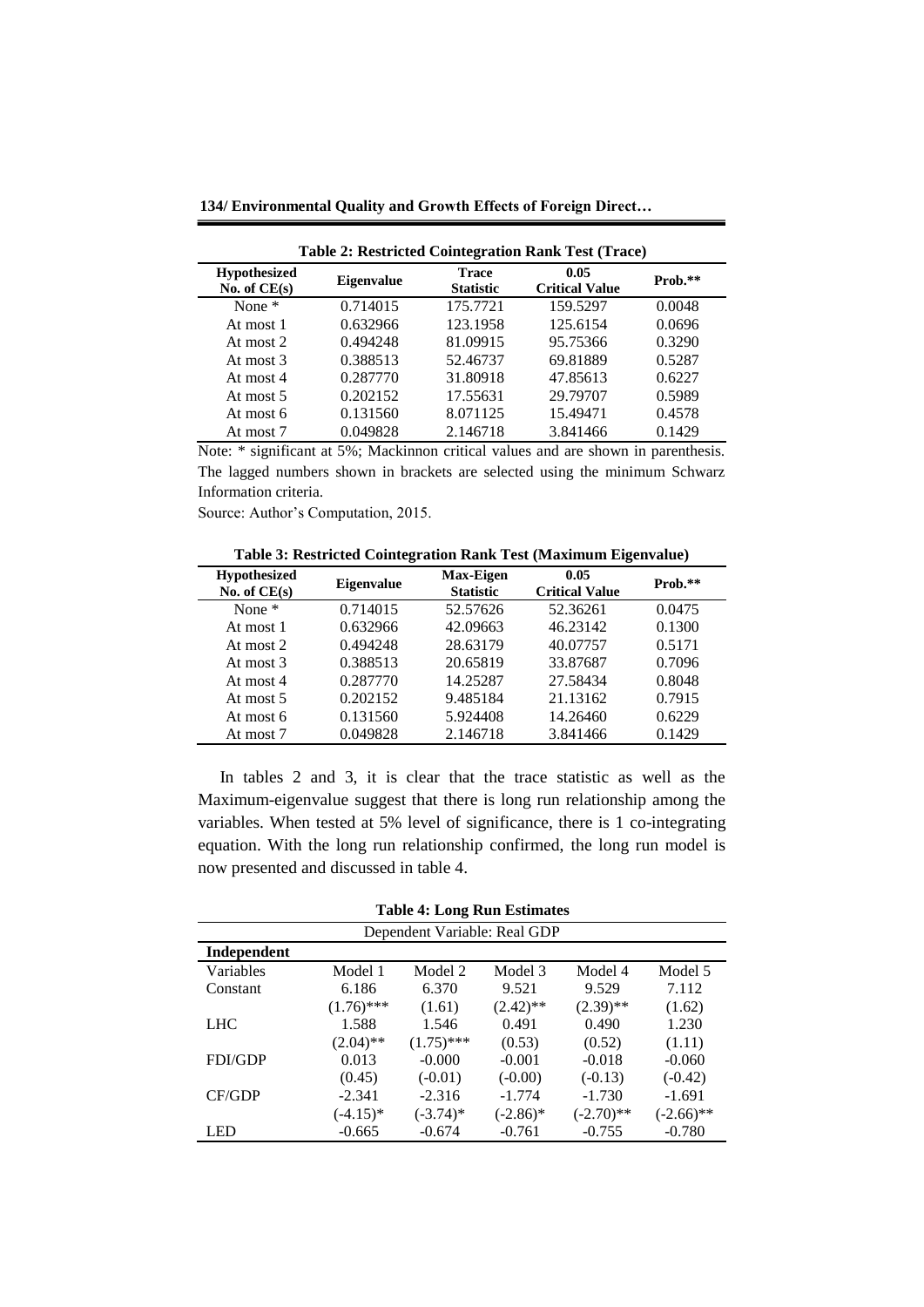**134/ Environmental Quality and Growth Effects of Foreign Direct…**

| <b>Table 2: Restricted Cointegration Rank Test (Trace)</b> |                   |                                  |                               |         |  |
|------------------------------------------------------------|-------------------|----------------------------------|-------------------------------|---------|--|
| <b>Hypothesized</b><br>No. of $CE(s)$                      | <b>Eigenvalue</b> | <b>Trace</b><br><b>Statistic</b> | 0.05<br><b>Critical Value</b> | Prob.** |  |
| None $*$                                                   | 0.714015          | 175.7721                         | 159.5297                      | 0.0048  |  |
| At most 1                                                  | 0.632966          | 123.1958                         | 125.6154                      | 0.0696  |  |
| At most $2$                                                | 0.494248          | 81.09915                         | 95.75366                      | 0.3290  |  |
| At most 3                                                  | 0.388513          | 52.46737                         | 69.81889                      | 0.5287  |  |
| At most 4                                                  | 0.287770          | 31.80918                         | 47.85613                      | 0.6227  |  |
| At most 5                                                  | 0.202152          | 17.55631                         | 29.79707                      | 0.5989  |  |
| At most 6                                                  | 0.131560          | 8.071125                         | 15.49471                      | 0.4578  |  |
| At most 7                                                  | 0.049828          | 2.146718                         | 3.841466                      | 0.1429  |  |

Note: \* significant at 5%; Mackinnon critical values and are shown in parenthesis. The lagged numbers shown in brackets are selected using the minimum Schwarz Information criteria.

Source: Author's Computation, 2015.

**Table 3: Restricted Cointegration Rank Test (Maximum Eigenvalue)**

| <b>Hypothesized</b><br>No. of $CE(s)$ | <b>Eigenvalue</b> | <b>Max-Eigen</b><br><b>Statistic</b> | 0.05<br><b>Critical Value</b> | Prob.** |
|---------------------------------------|-------------------|--------------------------------------|-------------------------------|---------|
| None $*$                              | 0.714015          | 52.57626                             | 52.36261                      | 0.0475  |
| At most 1                             | 0.632966          | 42.09663                             | 46.23142                      | 0.1300  |
| At most 2                             | 0.494248          | 28.63179                             | 40.07757                      | 0.5171  |
| At most 3                             | 0.388513          | 20.65819                             | 33.87687                      | 0.7096  |
| At most 4                             | 0.287770          | 14.25287                             | 27.58434                      | 0.8048  |
| At most 5                             | 0.202152          | 9.485184                             | 21.13162                      | 0.7915  |
| At most 6                             | 0.131560          | 5.924408                             | 14.26460                      | 0.6229  |
| At most 7                             | 0.049828          | 2.146718                             | 3.841466                      | 0.1429  |

In tables 2 and 3, it is clear that the trace statistic as well as the Maximum-eigenvalue suggest that there is long run relationship among the variables. When tested at 5% level of significance, there is 1 co-integrating equation. With the long run relationship confirmed, the long run model is now presented and discussed in table 4.

| <b>Table 4: Long Run Estimates</b> |              |              |             |              |              |
|------------------------------------|--------------|--------------|-------------|--------------|--------------|
| Dependent Variable: Real GDP       |              |              |             |              |              |
| Independent                        |              |              |             |              |              |
| Variables                          | Model 1      | Model 2      | Model 3     | Model 4      | Model 5      |
| Constant                           | 6.186        | 6.370        | 9.521       | 9.529        | 7.112        |
|                                    | $(1.76)$ *** | (1.61)       | $(2.42)$ ** | $(2.39)$ **  | (1.62)       |
| <b>LHC</b>                         | 1.588        | 1.546        | 0.491       | 0.490        | 1.230        |
|                                    | $(2.04)$ **  | $(1.75)$ *** | (0.53)      | (0.52)       | (1.11)       |
| <b>FDI/GDP</b>                     | 0.013        | $-0.000$     | $-0.001$    | $-0.018$     | $-0.060$     |
|                                    | (0.45)       | $(-0.01)$    | $(-0.00)$   | $(-0.13)$    | $(-0.42)$    |
| <b>CF/GDP</b>                      | $-2.341$     | $-2.316$     | $-1.774$    | $-1.730$     | $-1.691$     |
|                                    | $(-4.15)^*$  | $(-3.74)$ *  | $(-2.86)^*$ | $(-2.70)$ ** | $(-2.66)$ ** |
| LED                                | $-0.665$     | $-0.674$     | $-0.761$    | $-0.755$     | $-0.780$     |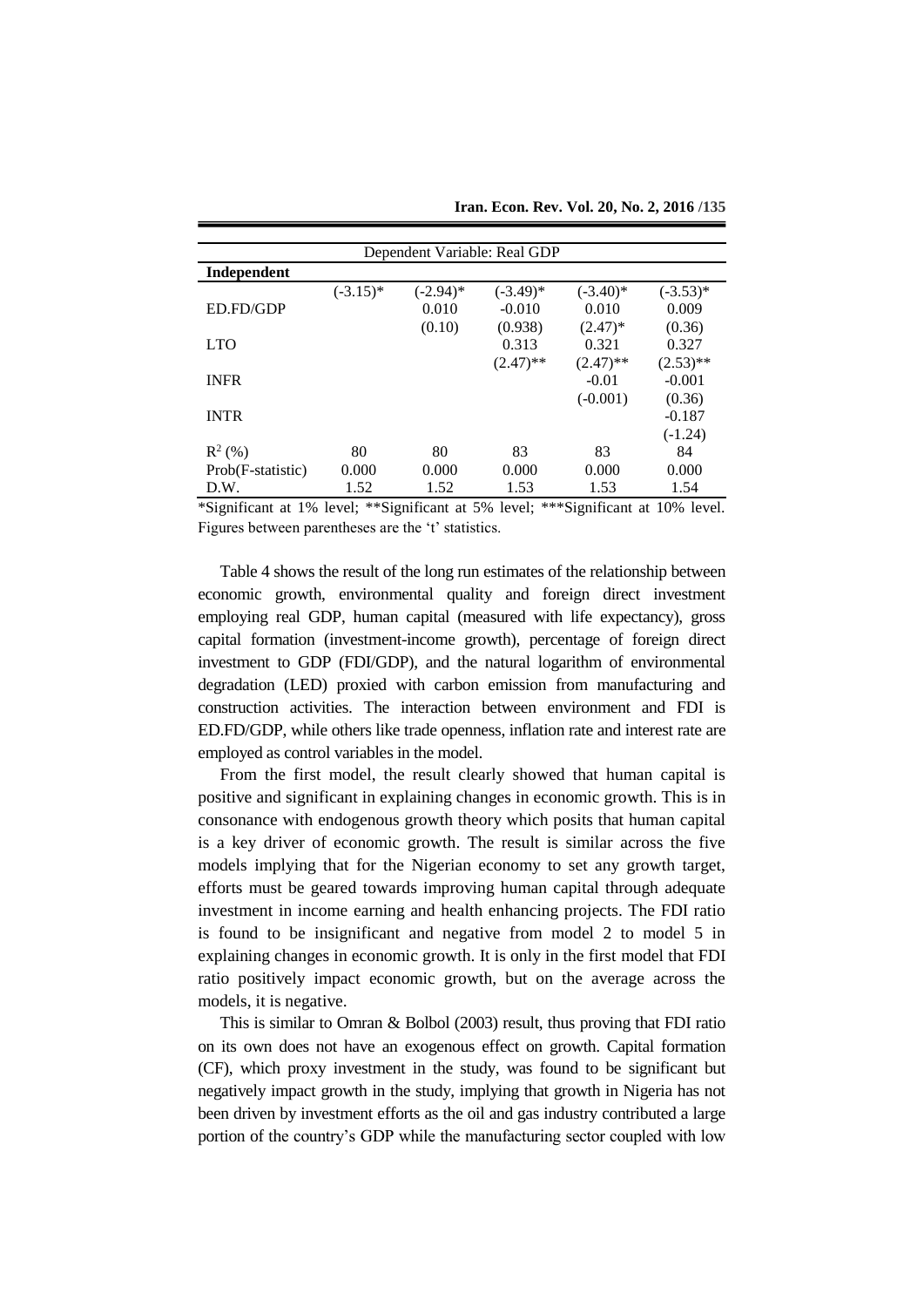| Dependent Variable: Real GDP |             |             |             |             |             |
|------------------------------|-------------|-------------|-------------|-------------|-------------|
| Independent                  |             |             |             |             |             |
|                              | $(-3.15)^*$ | $(-2.94)^*$ | $(-3.49)$ * | $(-3.40)$ * | $(-3.53)*$  |
| ED.FD/GDP                    |             | 0.010       | $-0.010$    | 0.010       | 0.009       |
|                              |             | (0.10)      | (0.938)     | $(2.47)^*$  | (0.36)      |
| <b>LTO</b>                   |             |             | 0.313       | 0.321       | 0.327       |
|                              |             |             | $(2.47)$ ** | $(2.47)$ ** | $(2.53)$ ** |
| <b>INFR</b>                  |             |             |             | $-0.01$     | $-0.001$    |
|                              |             |             |             | $(-0.001)$  | (0.36)      |
| <b>INTR</b>                  |             |             |             |             | $-0.187$    |
|                              |             |             |             |             | $(-1.24)$   |
| $R^2$ (%)                    | 80          | 80          | 83          | 83          | 84          |
| Prob(F-statistic)            | 0.000       | 0.000       | 0.000       | 0.000       | 0.000       |
| D.W.                         | 1.52        | 1.52        | 1.53        | 1.53        | 1.54        |

**Iran. Econ. Rev. Vol. 20, No. 2, 2016 /135**

\*Significant at 1% level; \*\*Significant at 5% level; \*\*\*Significant at 10% level. Figures between parentheses are the 't' statistics.

Table 4 shows the result of the long run estimates of the relationship between economic growth, environmental quality and foreign direct investment employing real GDP, human capital (measured with life expectancy), gross capital formation (investment-income growth), percentage of foreign direct investment to GDP (FDI/GDP), and the natural logarithm of environmental degradation (LED) proxied with carbon emission from manufacturing and construction activities. The interaction between environment and FDI is ED.FD/GDP, while others like trade openness, inflation rate and interest rate are employed as control variables in the model.

From the first model, the result clearly showed that human capital is positive and significant in explaining changes in economic growth. This is in consonance with endogenous growth theory which posits that human capital is a key driver of economic growth. The result is similar across the five models implying that for the Nigerian economy to set any growth target, efforts must be geared towards improving human capital through adequate investment in income earning and health enhancing projects. The FDI ratio is found to be insignificant and negative from model 2 to model 5 in explaining changes in economic growth. It is only in the first model that FDI ratio positively impact economic growth, but on the average across the models, it is negative.

This is similar to Omran & Bolbol (2003) result, thus proving that FDI ratio on its own does not have an exogenous effect on growth. Capital formation (CF), which proxy investment in the study, was found to be significant but negatively impact growth in the study, implying that growth in Nigeria has not been driven by investment efforts as the oil and gas industry contributed a large portion of the country's GDP while the manufacturing sector coupled with low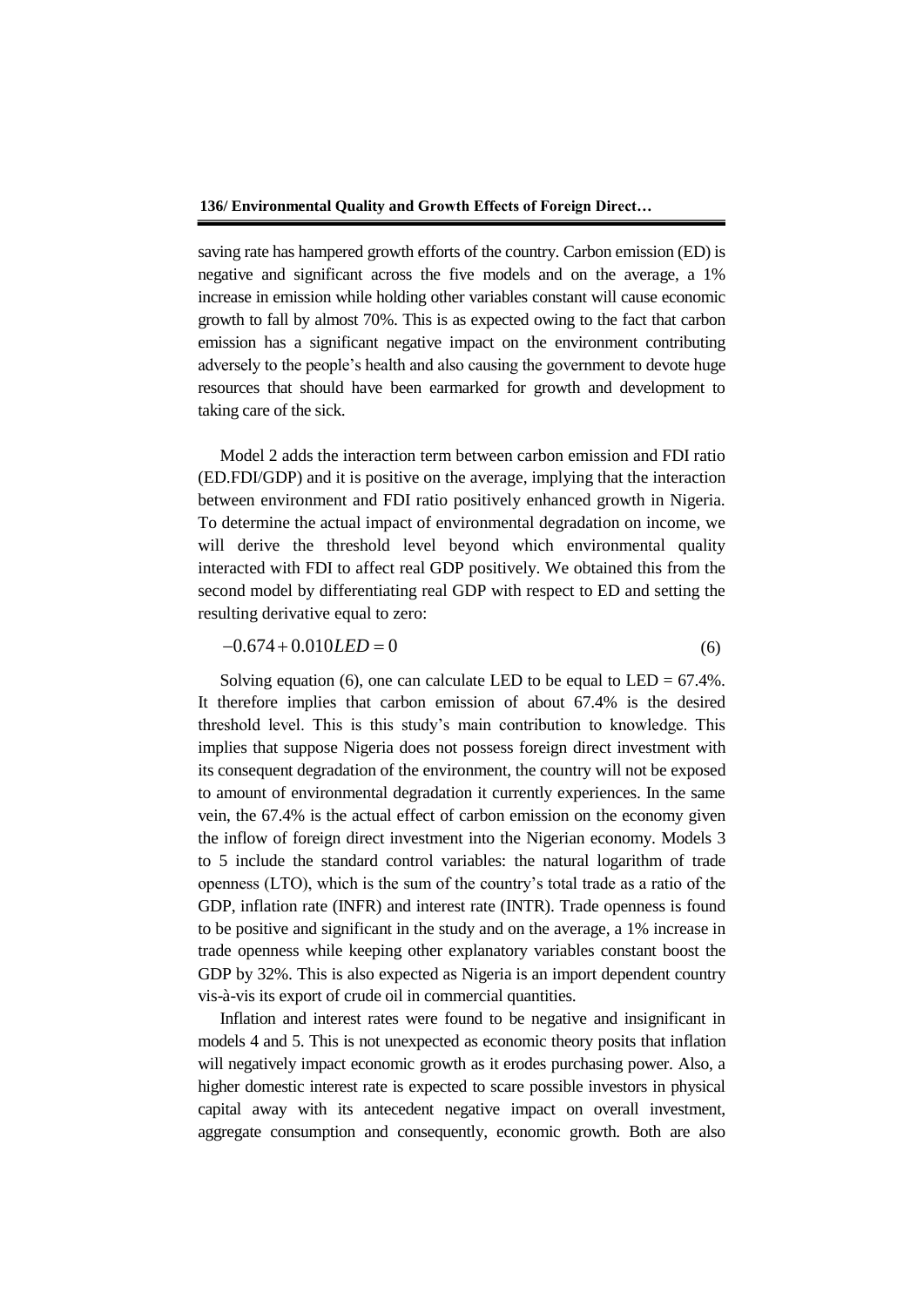saving rate has hampered growth efforts of the country. Carbon emission (ED) is negative and significant across the five models and on the average, a 1% increase in emission while holding other variables constant will cause economic growth to fall by almost 70%. This is as expected owing to the fact that carbon emission has a significant negative impact on the environment contributing adversely to the people's health and also causing the government to devote huge resources that should have been earmarked for growth and development to taking care of the sick.

Model 2 adds the interaction term between carbon emission and FDI ratio (ED.FDI/GDP) and it is positive on the average, implying that the interaction between environment and FDI ratio positively enhanced growth in Nigeria. To determine the actual impact of environmental degradation on income, we will derive the threshold level beyond which environmental quality interacted with FDI to affect real GDP positively. We obtained this from the second model by differentiating real GDP with respect to ED and setting the resulting derivative equal to zero:

$$
-0.674 + 0.010LED = 0\tag{6}
$$

Solving equation (6), one can calculate LED to be equal to  $LED = 67.4\%$ . It therefore implies that carbon emission of about 67.4% is the desired threshold level. This is this study's main contribution to knowledge. This implies that suppose Nigeria does not possess foreign direct investment with its consequent degradation of the environment, the country will not be exposed to amount of environmental degradation it currently experiences. In the same vein, the 67.4% is the actual effect of carbon emission on the economy given the inflow of foreign direct investment into the Nigerian economy. Models 3 to 5 include the standard control variables: the natural logarithm of trade openness (LTO), which is the sum of the country's total trade as a ratio of the GDP, inflation rate (INFR) and interest rate (INTR). Trade openness is found to be positive and significant in the study and on the average, a 1% increase in trade openness while keeping other explanatory variables constant boost the GDP by 32%. This is also expected as Nigeria is an import dependent country vis-à-vis its export of crude oil in commercial quantities.

Inflation and interest rates were found to be negative and insignificant in models 4 and 5. This is not unexpected as economic theory posits that inflation will negatively impact economic growth as it erodes purchasing power. Also, a higher domestic interest rate is expected to scare possible investors in physical capital away with its antecedent negative impact on overall investment, aggregate consumption and consequently, economic growth. Both are also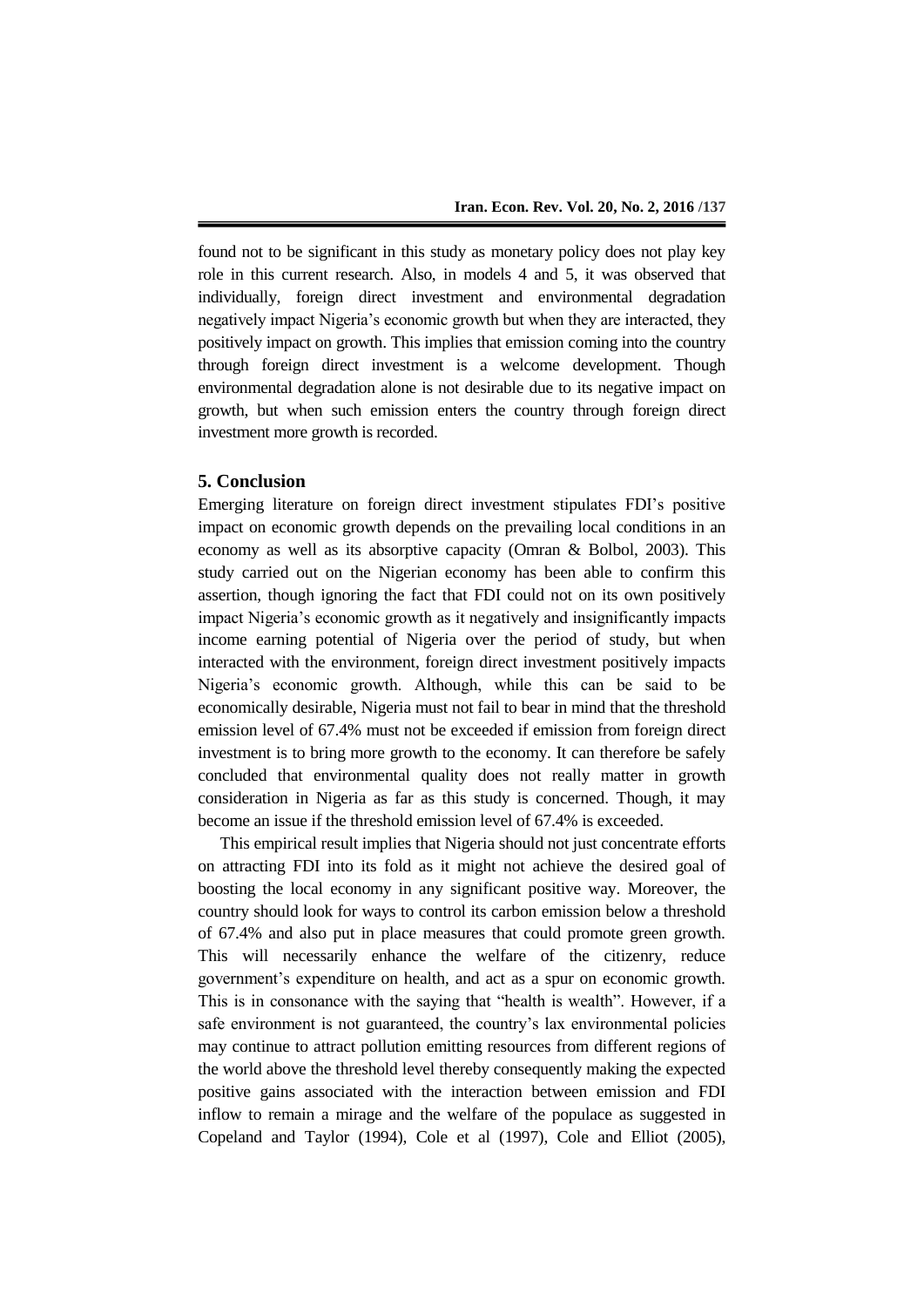found not to be significant in this study as monetary policy does not play key role in this current research. Also, in models 4 and 5, it was observed that individually, foreign direct investment and environmental degradation negatively impact Nigeria's economic growth but when they are interacted, they positively impact on growth. This implies that emission coming into the country through foreign direct investment is a welcome development. Though environmental degradation alone is not desirable due to its negative impact on growth, but when such emission enters the country through foreign direct investment more growth is recorded.

#### **5. Conclusion**

Emerging literature on foreign direct investment stipulates FDI's positive impact on economic growth depends on the prevailing local conditions in an economy as well as its absorptive capacity (Omran & Bolbol, 2003). This study carried out on the Nigerian economy has been able to confirm this assertion, though ignoring the fact that FDI could not on its own positively impact Nigeria's economic growth as it negatively and insignificantly impacts income earning potential of Nigeria over the period of study, but when interacted with the environment, foreign direct investment positively impacts Nigeria's economic growth. Although, while this can be said to be economically desirable, Nigeria must not fail to bear in mind that the threshold emission level of 67.4% must not be exceeded if emission from foreign direct investment is to bring more growth to the economy. It can therefore be safely concluded that environmental quality does not really matter in growth consideration in Nigeria as far as this study is concerned. Though, it may become an issue if the threshold emission level of 67.4% is exceeded.

This empirical result implies that Nigeria should not just concentrate efforts on attracting FDI into its fold as it might not achieve the desired goal of boosting the local economy in any significant positive way. Moreover, the country should look for ways to control its carbon emission below a threshold of 67.4% and also put in place measures that could promote green growth. This will necessarily enhance the welfare of the citizenry, reduce government's expenditure on health, and act as a spur on economic growth. This is in consonance with the saying that "health is wealth". However, if a safe environment is not guaranteed, the country's lax environmental policies may continue to attract pollution emitting resources from different regions of the world above the threshold level thereby consequently making the expected positive gains associated with the interaction between emission and FDI inflow to remain a mirage and the welfare of the populace as suggested in Copeland and Taylor (1994), Cole et al (1997), Cole and Elliot (2005),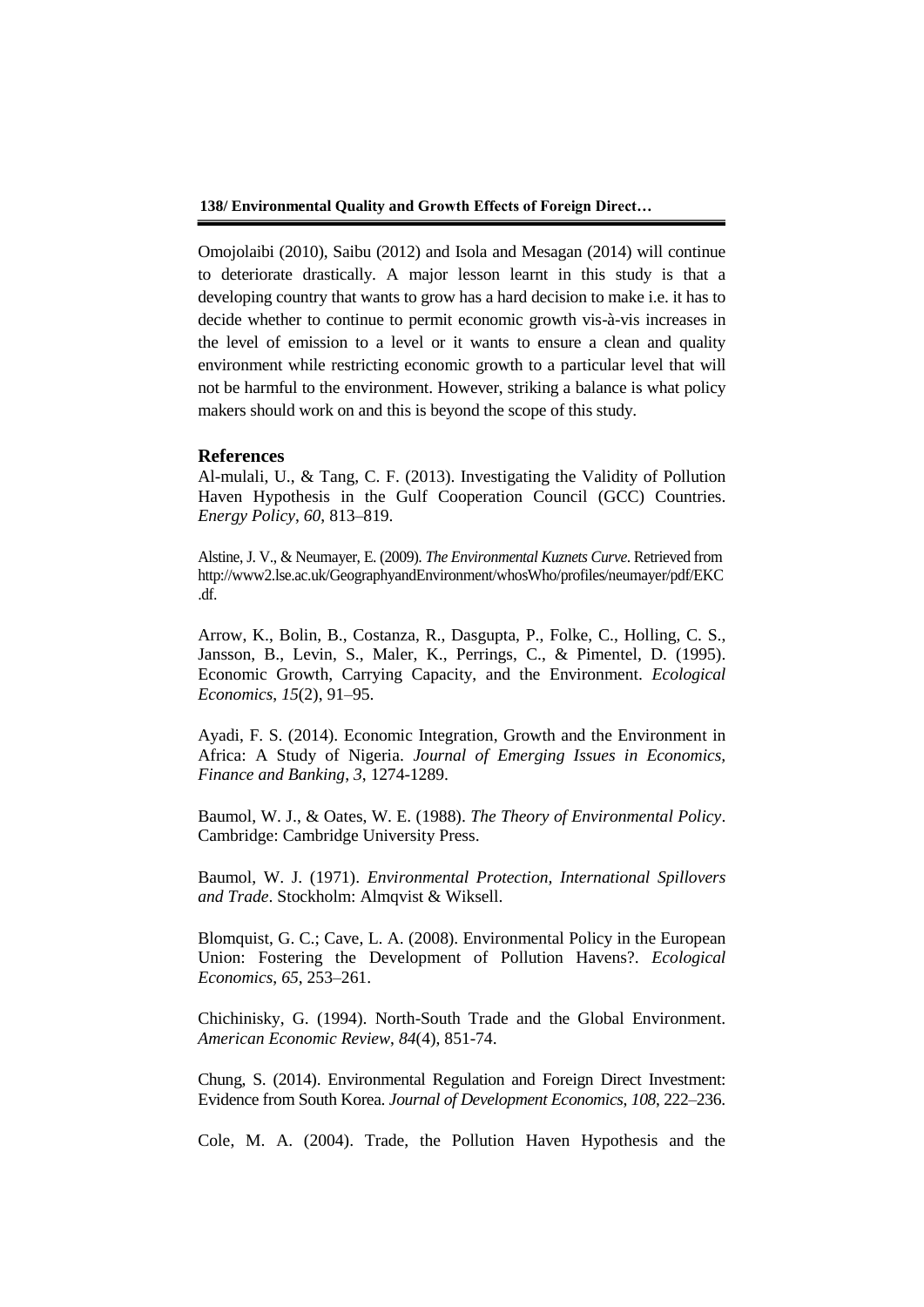Omojolaibi (2010), Saibu (2012) and Isola and Mesagan (2014) will continue to deteriorate drastically. A major lesson learnt in this study is that a developing country that wants to grow has a hard decision to make i.e. it has to decide whether to continue to permit economic growth vis-à-vis increases in the level of emission to a level or it wants to ensure a clean and quality environment while restricting economic growth to a particular level that will not be harmful to the environment. However, striking a balance is what policy makers should work on and this is beyond the scope of this study.

#### **References**

Al-mulali, U., & Tang, C. F. (2013). Investigating the Validity of Pollution Haven Hypothesis in the Gulf Cooperation Council (GCC) Countries. *Energy Policy*, *60*, 813–819.

Alstine, J. V., & Neumayer, E. (2009). *The Environmental Kuznets Curve*. Retrieved from http://www2.lse.ac.uk/GeographyandEnvironment/whosWho/profiles/neumayer/pdf/EKC .df.

Arrow, K., Bolin, B., Costanza, R., Dasgupta, P., Folke, C., Holling, C. S., Jansson, B., Levin, S., Maler, K., Perrings, C., & Pimentel, D. (1995). Economic Growth, Carrying Capacity, and the Environment. *Ecological Economics*, *15*(2), 91–95.

Ayadi, F. S. (2014). Economic Integration, Growth and the Environment in Africa: A Study of Nigeria. *Journal of Emerging Issues in Economics, Finance and Banking*, *3*, 1274-1289.

Baumol, W. J., & Oates, W. E. (1988). *The Theory of Environmental Policy*. Cambridge: Cambridge University Press.

Baumol, W. J. (1971). *Environmental Protection, International Spillovers and Trade*. Stockholm: Almqvist & Wiksell.

Blomquist, G. C.; Cave, L. A. (2008). Environmental Policy in the European Union: Fostering the Development of Pollution Havens?. *Ecological Economics*, *65*, 253–261.

Chichinisky, G. (1994). North-South Trade and the Global Environment. *American Economic Review*, *84*(4), 851-74.

Chung, S. (2014). Environmental Regulation and Foreign Direct Investment: Evidence from South Korea. *Journal of Development Economics*, *108*, 222–236.

Cole, M. A. (2004). Trade, the Pollution Haven Hypothesis and the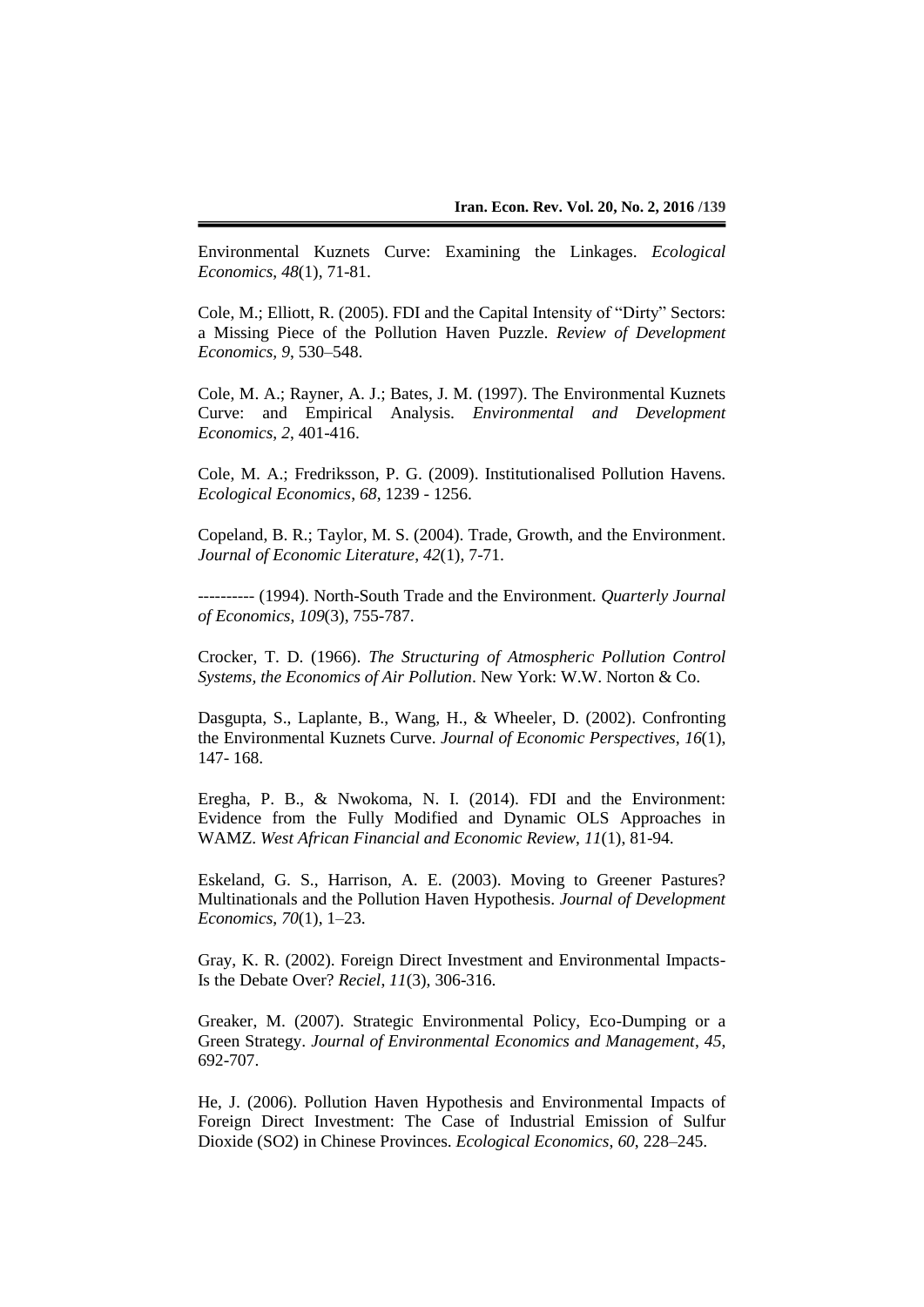Environmental Kuznets Curve: Examining the Linkages. *Ecological Economics*, *48*(1), 71-81.

Cole, M.; Elliott, R. (2005). FDI and the Capital Intensity of "Dirty" Sectors: a Missing Piece of the Pollution Haven Puzzle. *Review of Development Economics, 9*, 530–548.

Cole, M. A.; Rayner, A. J.; Bates, J. M. (1997). The Environmental Kuznets Curve: and Empirical Analysis. *Environmental and Development Economics*, *2*, 401-416.

Cole, M. A.; Fredriksson, P. G. (2009). Institutionalised Pollution Havens. *Ecological Economics*, *68*, 1239 - 1256.

Copeland, B. R.; Taylor, M. S. (2004). Trade, Growth, and the Environment. *Journal of Economic Literature*, *42*(1), 7-71.

---------- (1994). North-South Trade and the Environment. *Quarterly Journal of Economics*, *109*(3), 755-787.

Crocker, T. D. (1966). *The Structuring of Atmospheric Pollution Control Systems, the Economics of Air Pollution*. New York: W.W. Norton & Co.

Dasgupta, S., Laplante, B., Wang, H., & Wheeler, D. (2002). Confronting the Environmental Kuznets Curve. *Journal of Economic Perspectives*, *16*(1), 147- 168.

Eregha, P. B., & Nwokoma, N. I. (2014). FDI and the Environment: Evidence from the Fully Modified and Dynamic OLS Approaches in WAMZ. *West African Financial and Economic Review*, *11*(1), 81-94.

Eskeland, G. S., Harrison, A. E. (2003). Moving to Greener Pastures? Multinationals and the Pollution Haven Hypothesis. *Journal of Development Economics*, *70*(1), 1–23.

Gray, K. R. (2002). Foreign Direct Investment and Environmental Impacts-Is the Debate Over? *Reciel*, *11*(3), 306-316.

Greaker, M. (2007). Strategic Environmental Policy, Eco-Dumping or a Green Strategy. *Journal of Environmental Economics and Management*, *45*, 692-707.

He, J. (2006). Pollution Haven Hypothesis and Environmental Impacts of Foreign Direct Investment: The Case of Industrial Emission of Sulfur Dioxide (SO2) in Chinese Provinces. *Ecological Economics*, *60*, 228–245.